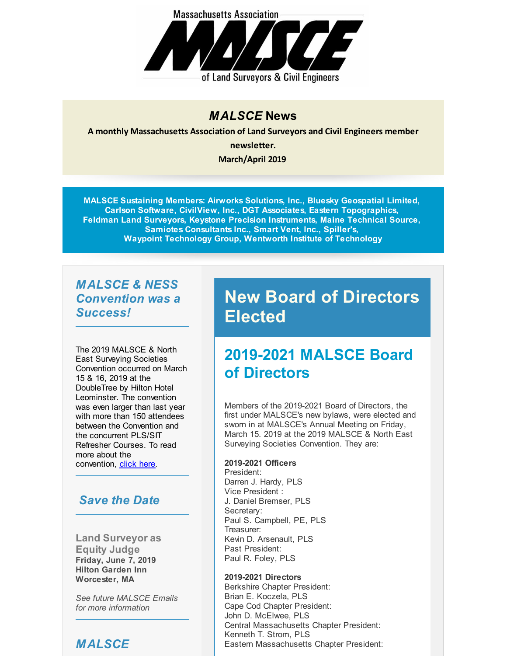

#### *MALSCE* **News**

**A monthly Massachusetts Association of Land Surveyors and Civil Engineers member newsletter.**

**March/April 2019**

**MALSCE Sustaining Members: Airworks Solutions, Inc., Bluesky Geospatial Limited, Carlson Software, CivilView, Inc., DGT Associates, Eastern Topographics, Feldman Land Surveyors, Keystone Precision Instruments, Maine Technical Source, Samiotes Consultants Inc., Smart Vent, Inc., Spiller's, Waypoint Technology Group, Wentworth Institute of Technology**

#### *MALSCE & NESS Convention was a Success!*

The 2019 MALSCE & North East Surveying Societies Convention occurred on March 15 & 16, 2019 at the DoubleTree by Hilton Hotel Leominster. The convention was even larger than last year with more than 150 attendees between the Convention and the concurrent PLS/SIT Refresher Courses. To read more about the convention, [click](http://r20.rs6.net/tn.jsp?f=001JyBbUMQzmfIngzAk5zwLj1hhCtuWSR59QK2-vXgZgkIImOEKtg9UZeDrLfk1z_9-CfhauBslgyPKJXLx9Ivzao11aJciw1BUSDj0PTGP4dGEHdvEOdnfnnse4VUsJmL9SUt3tEqsHyqHN8mgFNlV0ya0waCqQZi4h1X2LxYyrOzjwOqG9aVIJ-qUTwKfG9XRWyHBNZOcISaHXskCPYKXEuiK5T3157YRG4-SIxvE-a4175co8j1s6RoxuWMnundS0rj26crW2L5T1m7pdBdmDO-yXseuotGVrJ1DHH3qMvaS1Hc-uEDrR1Ju34Rt8626&c=&ch=) here.

### *Save the Date*

**Land Surveyor as Equity Judge Friday, June 7, 2019 Hilton Garden Inn Worcester, MA**

*See future MALSCE Emails for more information*

## *MALSCE*

# **New Board of Directors Elected**

## **2019-2021 MALSCE Board of Directors**

Members of the 2019-2021 Board of Directors, the first under MALSCE's new bylaws, were elected and sworn in at MALSCE's Annual Meeting on Friday, March 15. 2019 at the 2019 MALSCE & North East Surveying Societies Convention. They are:

#### **2019-2021 Officers**

President: Darren J. Hardy, PLS Vice President : J. Daniel Bremser, PLS Secretary: Paul S. Campbell, PE, PLS Treasurer: Kevin D. Arsenault, PLS Past President: Paul R. Foley, PLS

#### **2019-2021 Directors**

Berkshire Chapter President: Brian E. Koczela, PLS Cape Cod Chapter President: John D. McElwee, PLS Central Massachusetts Chapter President: Kenneth T. Strom, PLS Eastern Massachusetts Chapter President: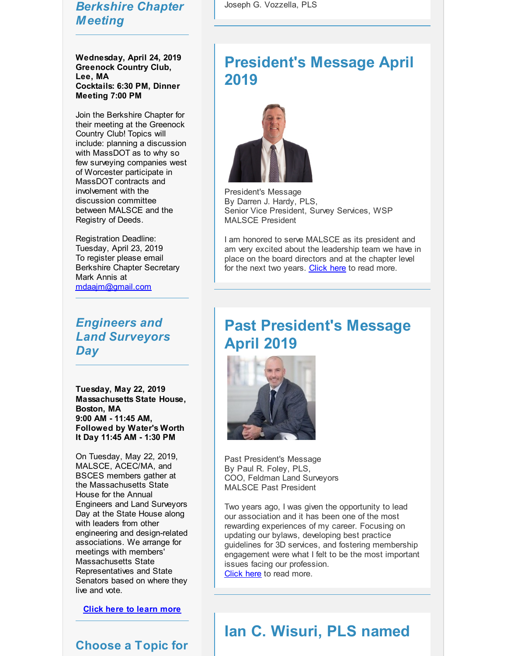### *Berkshire Chapter Meeting*

**Wednesday, April 24, 2019 Greenock Country Club, Lee, MA Cocktails: 6:30 PM, Dinner Meeting 7:00 PM**

Join the Berkshire Chapter for their meeting at the Greenock Country Club! Topics will include: planning a discussion with MassDOT as to why so few surveying companies west of Worcester participate in MassDOT contracts and involvement with the discussion committee between MALSCE and the Registry of Deeds.

Registration Deadline: Tuesday, April 23, 2019 To register please email Berkshire Chapter Secretary Mark Annis at [mdaajm@gmail.com](mailto:mdaajm@gmail.com)

*Engineers and Land Surveyors Day*

**Tuesday, May 22, 2019 Massachusetts State House, Boston, MA 9:00 AM - 11:45 AM, Followed by Water's Worth It Day 11:45 AM - 1:30 PM**

On Tuesday, May 22, 2019, MALSCE, ACEC/MA, and BSCES members gather at the Massachusetts State House for the Annual Engineers and Land Surveyors Day at the State House along with leaders from other engineering and design-related associations. We arrange for meetings with members' Massachusetts State Representatives and State Senators based on where they live and vote.

**Click here to [learn](http://r20.rs6.net/tn.jsp?f=001JyBbUMQzmfIngzAk5zwLj1hhCtuWSR59QK2-vXgZgkIImOEKtg9UZTO2VaPEhUqbpjgBfM4Xk1LMjJmTIQBu43fciuUwKFhG8FW8YbGpWCvdPDr15OREhGY_u-frrEJkx7jX1iYfZOrnv94m8jz1Ubq6WsAzDitE1tNLNFxSHr--AQb_UKsuyPeG9hi_v7cNMosOYCO1f2iJj-ANIzP7hvt3tHLfYso7&c=&ch=) more**

#### **Choose a Topic for**

Joseph G. Vozzella, PLS

## **President's Message April 2019**



President's Message By Darren J. Hardy, PLS, Senior Vice President, Survey Services, WSP MALSCE President

I am honored to serve MALSCE as its president and am very excited about the leadership team we have in place on the board directors and at the chapter level for the next two years. [Click](http://r20.rs6.net/tn.jsp?f=001JyBbUMQzmfIngzAk5zwLj1hhCtuWSR59QK2-vXgZgkIImOEKtg9UZeDrLfk1z_9-XsWx0gYJGAAy9GShYDtLcxV4TGg_8tb7drS0C82J87DW0UeA4YfmdJ761dEYK-K5pC1XuXi7ImqUQkYTboS_yCIu_vaFC7CL_aEXzQFoeC8YtJwG8MtK5qPJhKrvAGC44tGSbWyjyL7EfGeBfocNOmP42P0hSQKB1ezOU99cPv5EchONBoHPFPsnUP5Q0fp7&c=&ch=) here to read more.

## **Past President's Message April 2019**



Past President's Message By Paul R. Foley, PLS, COO, Feldman Land Surveyors MALSCE Past President

Two years ago, I was given the opportunity to lead our association and it has been one of the most rewarding experiences of my career. Focusing on updating our bylaws, developing best practice guidelines for 3D services, and fostering membership engagement were what I felt to be the most important issues facing our profession. [Click](http://r20.rs6.net/tn.jsp?f=001JyBbUMQzmfIngzAk5zwLj1hhCtuWSR59QK2-vXgZgkIImOEKtg9UZeDrLfk1z_9-nVF0E-YPLW4X8VrM9ZVvB3tNVKa37jSHXjjwfh12JSPmAnDcnS96E7odwolom75iUiM1tMKAmZ8gQfk9i1xaONQhceh8X2Nm42USrZAofVyksFgeerW0dKKQS4Msb_XS4FRx9OsH8vd7BjYiZ1vVvXhBaTjHKYEs6-Ddq3GdgB_1u95sA4oiriTRgp7Gko10Ca5x06XMoPA=&c=&ch=) here to read more.

## **Ian C. Wisuri, PLS named**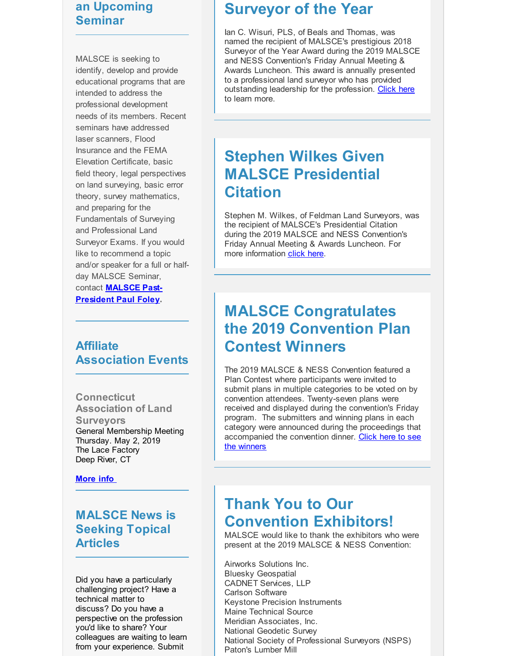### **an Upcoming Seminar**

MALSCE is seeking to identify, develop and provide educational programs that are intended to address the professional development needs of its members. Recent seminars have addressed laser scanners, Flood Insurance and the FEMA Elevation Certificate, basic field theory, legal perspectives on land surveying, basic error theory, survey mathematics, and preparing for the Fundamentals of Surveying and Professional Land Surveyor Exams. If you would like to recommend a topic and/or speaker for a full or halfday MALSCE Seminar, contact **MALSCE Past-[President](mailto:pfoley@feldmansurveyors.com) Paul Foley.**

### **Affiliate Association Events**

**Connecticut Association of Land Surveyors** General Membership Meeting Thursday. May 2, 2019 The Lace Factory Deep River, CT

**[More](http://r20.rs6.net/tn.jsp?f=001JyBbUMQzmfIngzAk5zwLj1hhCtuWSR59QK2-vXgZgkIImOEKtg9UZSjvBiy0HyKitLc9_3r6TZ7jhSFIZj3rr9np5KuTtgAEoU9vLLWoWZ7Cl3aWUvx7a-oRYNHaRKFKq7LhBNX52hlF02CDK8dsMfOOdau2Yd7TXpkej6QfCTKI5nh7XyKDBzyVH4uuU_RyGGCDNd2a-TA=&c=&ch=) info**

**MALSCE News is Seeking Topical Articles**

Did you have a particularly challenging project? Have a technical matter to discuss? Do you have a perspective on the profession you'd like to share? Your colleagues are waiting to learn from your experience. Submit

## **Surveyor of the Year**

Ian C. Wisuri, PLS, of Beals and Thomas, was named the recipient of MALSCE's prestigious 2018 Surveyor of the Year Award during the 2019 MALSCE and NESS Convention's Friday Annual Meeting & Awards Luncheon. This award is annually presented to a professional land surveyor who has provided outstanding leadership for the profession. [Click](http://r20.rs6.net/tn.jsp?f=001JyBbUMQzmfIngzAk5zwLj1hhCtuWSR59QK2-vXgZgkIImOEKtg9UZeDrLfk1z_9-CnrhXUGcivmOxKEsmwEZM-5WAmQGpw8GijOGo4cOMEPHJ3hmtJV8uWpQG7vUL9_lIAHCc1NkK-zLRAI8uO_596lTS7H0pkd1pzcPhHV7urcqSKdwckc9HjHqGl0NQgh6AVH3tlE4r4UeM4Okd44MeH16Ezy2alTU9fKBTDhjP_HvTYgaL1zeEihBGqXgsZMGtYp9tmLgWChd4IW1ETYEal3ERtQ4Ed743T3dQZrSunA=&c=&ch=) here to learn more.

# **Stephen Wilkes Given MALSCE Presidential Citation**

Stephen M. Wilkes, of Feldman Land Surveyors, was the recipient of MALSCE's Presidential Citation during the 2019 MALSCE and NESS Convention's Friday Annual Meeting & Awards Luncheon. For more information [click](http://r20.rs6.net/tn.jsp?f=001JyBbUMQzmfIngzAk5zwLj1hhCtuWSR59QK2-vXgZgkIImOEKtg9UZeDrLfk1z_9-F4DKHzcwGHqfrr_lxbggvIBs0_A730P6Mlcozl87JgajImXrw88cQQ2_0UdAygN0M7JaT7yp1ni4HEFAYtNI8FiT5-SrF-uTRCWumvnoDwkTQClkBt1r0dOOz3zsgIo5sgfoPT0R19KKyf0DPpLPN6S8NWOJpRZ-9kIUX7AgR7yQNlVad2HoQ8sxxG0l4EtItlWFfap1F8QZP98LfksW5Q==&c=&ch=) here.

# **MALSCE Congratulates the 2019 Convention Plan Contest Winners**

The 2019 MALSCE & NESS Convention featured a Plan Contest where participants were invited to submit plans in multiple categories to be voted on by convention attendees. Twenty-seven plans were received and displayed during the convention's Friday program. The submitters and winning plans in each category were announced during the proceedings that [accompanied](http://r20.rs6.net/tn.jsp?f=001JyBbUMQzmfIngzAk5zwLj1hhCtuWSR59QK2-vXgZgkIImOEKtg9UZeDrLfk1z_9-K8WFUQyE6WSGfniq23cgKwSSI0sxtVIGQ2mk4hfhdpAuFgUci-7WX34xoKwIJSK5Ch8kHyJJqGm19ogXM5ANnmFR80u9GQctkJR--BpWr99iWbB4euIduOTKI1fJ49xjObaNXOB9l7r8OwW9qNG2bEGpHm0mctIx5qSiY9-jkvwkX6oMIskaMCUA0n4L6UFDZjLZ8ALnMR6rkyIV00Rnv98teWD7IjKn&c=&ch=) the convention dinner. Click here to see the winners

## **Thank You to Our Convention Exhibitors!**

MALSCE would like to thank the exhibitors who were present at the 2019 MALSCE & NESS Convention:

Airworks Solutions Inc. Bluesky Geospatial CADNET Services, LLP Carlson Software Keystone Precision Instruments Maine Technical Source Meridian Associates, Inc. National Geodetic Survey National Society of Professional Surveyors (NSPS) Paton's Lumber Mill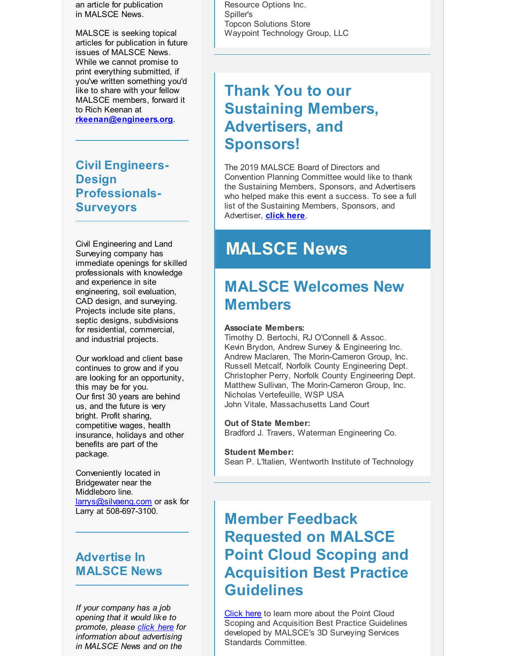an article for publication in MALSCE News.

MALSCE is seeking topical articles for publication in future issues of MALSCE News. While we cannot promise to print everything submitted, if you've written something you'd like to share with your fellow MALSCE members, forward it to Rich Keenan at **[rkeenan@engineers.org](mailto:rkeenan@engineers.org)**.

**Civil Engineers-Design Professionals-Surveyors**

Civil Engineering and Land Surveying company has immediate openings for skilled professionals with knowledge and experience in site engineering, soil evaluation, CAD design, and surveying. Projects include site plans, septic designs, subdivisions for residential, commercial, and industrial projects.

Our workload and client base continues to grow and if you are looking for an opportunity, this may be for you. Our first 30 years are behind us, and the future is very bright. Profit sharing, competitive wages, health insurance, holidays and other benefits are part of the package.

Conveniently located in Bridgewater near the Middleboro line. [larrys@silvaeng.com](mailto:larrys@silvaeng.com) or ask for Larry at 508-697-3100.

### **Advertise In MALSCE News**

*If your company has a job opening that it would like to promote, please [click](http://r20.rs6.net/tn.jsp?f=001JyBbUMQzmfIngzAk5zwLj1hhCtuWSR59QK2-vXgZgkIImOEKtg9UZeDrLfk1z_9-TwjFJw0noDyLF-RzilmZuSsvxN_O5wZQvfkgQwe1uA-CSgkb_S1examXpQXdAtx0Ni-_QXArd4z3lSEjF4P9dsNVdCeVGxZyqTV_zFpKcYgj8qH2BXiTrlASrL_35w85Awnc6oPP_TkowD4ssBJ7Vyy9FsYOpEB66zI2oqsMhlfZeo7oxc32InfR4SvOYshM&c=&ch=) here for information about advertising in MALSCE News and on the*

Resource Options Inc. Spiller's Topcon Solutions Store Waypoint Technology Group, LLC

# **Thank You to our Sustaining Members, Advertisers, and Sponsors!**

The 2019 MALSCE Board of Directors and Convention Planning Committee would like to thank the Sustaining Members, Sponsors, and Advertisers who helped make this event a success. To see a full list of the Sustaining Members, Sponsors, and Advertiser, **[click](http://r20.rs6.net/tn.jsp?f=001JyBbUMQzmfIngzAk5zwLj1hhCtuWSR59QK2-vXgZgkIImOEKtg9UZeDrLfk1z_9-2sT5-mg6-3LjR9tsiVUjD928zkGsGU-j35U4iDgyMF4CKFP8oOFKDT-Pgo3UrV3znw1MVLwE6rCaZxXdfPhJzCyz492D8BX3-g3BZRAsPNcilYEl62zJ6FoKeV91nyJEPN9HpZ8B8dFpfH_Poijc9oYixWCq7bOeOj8fvFp3IrW7_CIBByX-E6NbnkKOItUPuYjHJbZ7JnsH2qtMh0UwOrLBC63GRxnL7D3vxDdmxvE=&c=&ch=) here**.

# **MALSCE News**

# **MALSCE Welcomes New Members**

#### **Associate Members:**

Timothy D. Bertochi, RJ O'Connell & Assoc. Kevin Brydon, Andrew Survey & Engineering Inc. Andrew Maclaren, The Morin-Cameron Group, Inc. Russell Metcalf, Norfolk County Engineering Dept. Christopher Perry, Norfolk County Engineering Dept. Matthew Sullivan, The Morin-Cameron Group, Inc. Nicholas Vertefeuille, WSP USA John Vitale, Massachusetts Land Court

#### **Out of State Member:**

Bradford J. Travers, Waterman Engineering Co.

#### **Student Member:**

Sean P. L'Italien, Wentworth Institute of Technology

# **Member Feedback Requested on MALSCE Point Cloud Scoping and Acquisition Best Practice Guidelines**

[Click](http://r20.rs6.net/tn.jsp?f=001JyBbUMQzmfIngzAk5zwLj1hhCtuWSR59QK2-vXgZgkIImOEKtg9UZeDrLfk1z_9-7xUAt6-rsf-fukOKCgv1MfrBrcwePlAv_sekxG822H_DVgpqYo4BpqBtJIrVG4Of4f1Ik9rWsCFkV6VYz0XP0jWKHxzvjLS5s5WJJGCbLZXGdNBTUu4kgzLwVHFoSaKi3XAuPxQ87YyEC-xagiek9vwUwfzS-avjoM-h8vxt_IG85phMLNjxiFsqY5zl19e2Nr35q49Z_YmDk97K5O7kQjABcP6jDSy3_fMGGnkSYFExd8mePiNwpA==&c=&ch=) here to learn more about the Point Cloud Scoping and Acquisition Best Practice Guidelines developed by MALSCE's 3D Surveying Services Standards Committee.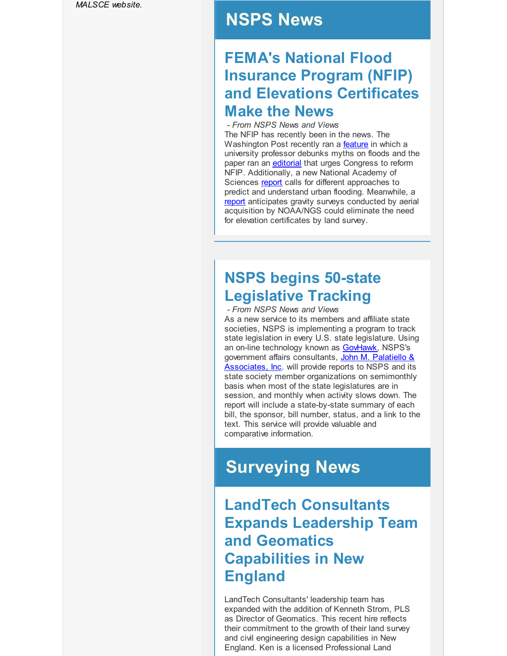*MALSCE website.*

## **NSPS News**

## **FEMA's National Flood Insurance Program (NFIP) and Elevations Certificates Make the News**

*- From NSPS News and Views* The NFIP has recently been in the news. The Washington Post recently ran a **[feature](http://r20.rs6.net/tn.jsp?f=001JyBbUMQzmfIngzAk5zwLj1hhCtuWSR59QK2-vXgZgkIImOEKtg9UZeDrLfk1z_9--4ILn3wugdEYwzf0qxVTWK4yn5ceSzyHyfm8oO2Ta21Fkdn2x8MVtvg0ZuUW4mgHyvwJxQlF58uk7IYrb0L1GnlJ5gSckQYrGdUsqsihioK1iHnnBLumk8OtCmrmgopEHKewDTKjPzSAVK5iD-x7H9zH6ctZrZHRmqhx6RyZA3YS0TOdDvaBLDkpMTQ8LbYqnfnJehBgbPTBEch2XuH7Tv0F-1dInY3AtoNZVMiuvqyRtHJdcfFjWRikPymCvSq68i4NXw1fSxEZgzYOMSkvzboHyIMiSj8Z97W4qwJO4DqA4hhd49ETu1PwMFRQ5UYBtRLlFRcT3z0=&c=&ch=)** in which a university professor debunks myths on floods and the paper ran an **[editorial](http://r20.rs6.net/tn.jsp?f=001JyBbUMQzmfIngzAk5zwLj1hhCtuWSR59QK2-vXgZgkIImOEKtg9UZeDrLfk1z_9-HrEHnwGK0naJ6RbCPxwAOt8-JmpqhvO_JP6fqNOs8HsvRj5wPgu5mW2ptAJoYDRT-4KkDVLh-HCVbt0O646hIILnAf4cn1GeN1rZViD2UMpM7cBYfDIfNC0WjT6zqOa_9v6Vezvydvg3YnEbpupGvyIlJKBV9oQSxp_2ODXg7zbPLtdvG0O9Hg3PVPDJtK-Ktsv8L4GDUxR_6XY2sKLyUFU_sTol55eFU9jhIQhcVW63l4t52cndpl2hLCrilKbvxEjpn-X5TgTtm96Ulxg0jaR-VSifJQS5d7uDZ69Q9M3O2Y5lz2ikeuQGaDKHsZx1PuTMJKSS-Ig=&c=&ch=)** that urges Congress to reform NFIP. Additionally, a new National Academy of Sciences [report](http://r20.rs6.net/tn.jsp?f=001JyBbUMQzmfIngzAk5zwLj1hhCtuWSR59QK2-vXgZgkIImOEKtg9UZeDrLfk1z_9-jsRnr5QwkjrMW5ke6lUVH1UuU_mCnjdg-vej_ySGnZiIRtwU0wt1QgsNXEVemqD-f_F1w1V5okds4xdr-pOYXBcO1-I2mHpAu0XsEBeRz9L53VZVL4oIa1tTQ3uuQtbYq_zLyPQ2G0aCEzXxR1DtMYoxCpmHJvBXTVp1gPqbxJl9I2nsp4IexA==&c=&ch=) calls for different approaches to predict and understand urban flooding. Meanwhile, a [report](http://r20.rs6.net/tn.jsp?f=001JyBbUMQzmfIngzAk5zwLj1hhCtuWSR59QK2-vXgZgkIImOEKtg9UZeDrLfk1z_9-jmvjHt9-o7AXtI7owwUB0GLkJjmjlUbIFAHAv2LXcr8ogrEQNabs8ikQ8rmqD7Lho3mHfLJ1e-2O_040M_UFaeGyHJPdTY6nMqbeWR9EjLNKJzdCJ1i1i9tUpTVf0iYPjYPzTZMADY2zS4NicuUPFkJvr8csc4RQLUQOG54TjY6Z1XHMVx4smuzCgSXA6TxfeM2PSuYc3q58QNPxWvfnqUMwiIsA5rcj&c=&ch=) anticipates gravity surveys conducted by aerial acquisition by NOAA/NGS could eliminate the need for elevation certificates by land survey.

# **NSPS begins 50-state Legislative Tracking**

*- From NSPS News and Views* As a new service to its members and affiliate state societies, NSPS is implementing a program to track state legislation in every U.S. state legislature. Using an on-line technology known as [GovHawk](http://r20.rs6.net/tn.jsp?f=001JyBbUMQzmfIngzAk5zwLj1hhCtuWSR59QK2-vXgZgkIImOEKtg9UZeDrLfk1z_9-E_CLD7GXhp3uakxFowJRYT0VBGqzN0bDFoQ5GkhGr9YJNUPUHUZNhDrUVVOqg7E9LTb4d5rMknT5dkKwxFGrYBn1LoBylofdvscXljx9-v4=&c=&ch=), NSPS's government affairs [consultants,](http://r20.rs6.net/tn.jsp?f=001JyBbUMQzmfIngzAk5zwLj1hhCtuWSR59QK2-vXgZgkIImOEKtg9UZeDrLfk1z_9-ogu6mwOrHSbzLM3CREXLXQo2Uq5EcBKyChhQjUeS1lgbu9-RFGhCot2ufSW5pGyPmclP-RATUuGCyQ-FLHoaal8YPkbiUZfbPXglTQ1joB0Xre0CBQxvKA==&c=&ch=) John M. Palatiello & Associates, Inc. will provide reports to NSPS and its state society member organizations on semimonthly basis when most of the state legislatures are in session, and monthly when activity slows down. The report will include a state-by-state summary of each bill, the sponsor, bill number, status, and a link to the text. This service will provide valuable and

comparative information.

# **Surveying News**

# **LandTech Consultants Expands Leadership Team and Geomatics Capabilities in New England**

LandTech Consultants' leadership team has expanded with the addition of Kenneth Strom, PLS as Director of Geomatics. This recent hire reflects their commitment to the growth of their land survey and civil engineering design capabilities in New England. Ken is a licensed Professional Land